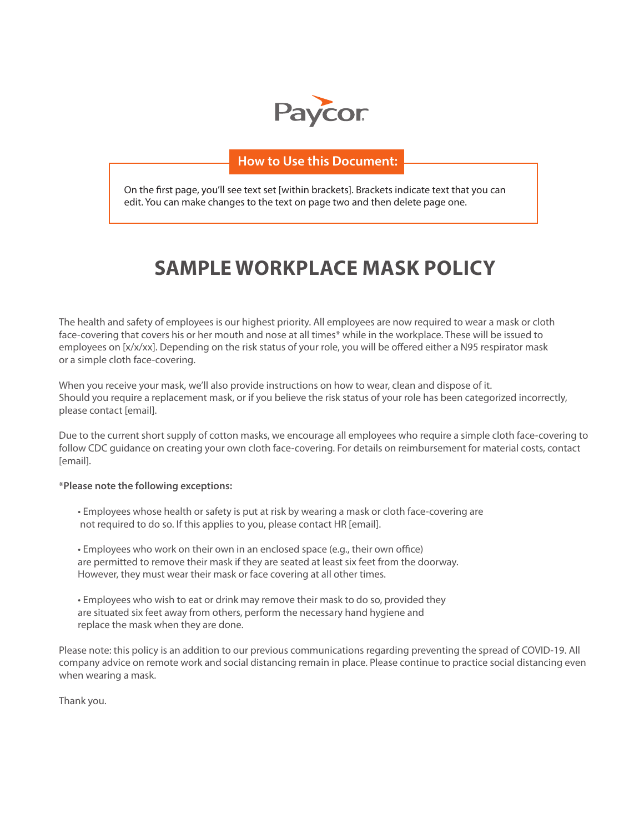

## **How to Use this Document:**

On the first page, you'll see text set [within brackets]. Brackets indicate text that you can edit. You can make changes to the text on page two and then delete page one.

## **SAMPLE WORKPLACE MASK POLICY**

The health and safety of employees is our highest priority. All employees are now required to wear a mask or cloth face-covering that covers his or her mouth and nose at all times\* while in the workplace. These will be issued to employees on [x/x/xx]. Depending on the risk status of your role, you will be offered either a N95 respirator mask or a simple cloth face-covering.

When you receive your mask, we'll also provide instructions on how to wear, clean and dispose of it. Should you require a replacement mask, or if you believe the risk status of your role has been categorized incorrectly, please contact [email].

Due to the current short supply of cotton masks, we encourage all employees who require a simple cloth face-covering to follow CDC guidance on creating your own cloth face-covering. For details on reimbursement for material costs, contact [email].

## **\*Please note the following exceptions:**

- Employees whose health or safety is put at risk by wearing a mask or cloth face-covering are not required to do so. If this applies to you, please contact HR [email].
- Employees who work on their own in an enclosed space (e.g., their own office) are permitted to remove their mask if they are seated at least six feet from the doorway. However, they must wear their mask or face covering at all other times.
- Employees who wish to eat or drink may remove their mask to do so, provided they are situated six feet away from others, perform the necessary hand hygiene and replace the mask when they are done.

Please note: this policy is an addition to our previous communications regarding preventing the spread of COVID-19. All company advice on remote work and social distancing remain in place. Please continue to practice social distancing even when wearing a mask.

Thank you.